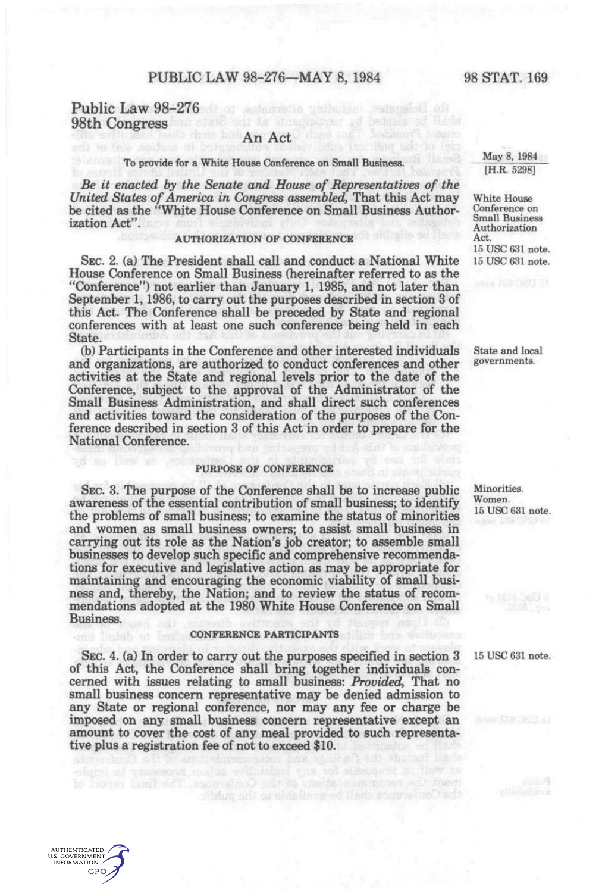## Public Law 98-276 and automobile with the spinned of the 98th Congress and state of the structure of bestods ad lists

in fall, markets at help

# An Act

## To provide for a White House Conference on Small Business.

*Be it enacted by the Senate and House of Representatives of the United States of America in Congress assembled,* That this Act may be cited as the "White House Conference on Small Business Authorization Act".

### AUTHORIZATION OF CONFERENCE

SEC. 2. (a) The President shall call and conduct a National White House Conference on Small Business (hereinafter referred to as the "Conference") not earlier than January 1, 1985, and not later than September 1, 1986, to carry out the purposes described in section 3 of this Act. The Conference shall be preceded by State and regional conferences with at least one such conference being held in each State.

(b) Participants in the Conference and other interested individuals and organizations, are authorized to conduct conferences and other activities at the State and regional levels prior to the date of the Conference, subject to the approval of the Administrator of the Small Business Administration, and shall direct such conferences and activities toward the consideration of the purposes of the Conference described in section 3 of this Act in order to prepare for the National Conference.

## PURPOSE OF CONFERENCE

SEC. 3. The purpose of the Conference shall be to increase public awareness of the essential contribution of small business; to identify the problems of small business; to examine the status of minorities and women as small business owners; to assist small business in carrying out its role as the Nation's job creator; to assemble small businesses to develop such specific and comprehensive recommendations for executive and legislative action as may be appropriate for maintaining and encouraging the economic viability of small business and, thereby, the Nation; and to review the status of recommendations adopted at the 1980 White House Conference on Small Business.

#### CONFERENCE PARTICIPANTS

SEC. 4. (a) In order to carry out the purposes specified in section 3 of this Act, the Conference shall bring together individuals concerned with issues relating to small business: *Provided,* That no small business concern representative may be denied admission to any State or regional conference, nor may any fee or charge be imposed on any small business concern representative except an amount to cover the cost of any meal provided to such representative plus a registration fee of not to exceed \$10.

their contract and address of the Gonese The final of the

AUTHENTICATED U.S. GOVERNMENT **GPO** 

White House Conference on Small Business Authorization Act. 15 USC 631 note. 15 USC 631 note.

State and local governments.

Minorities. Women. 15 USC 631 note.

15 USC 631 note.

 $p_{\text{GdG}}$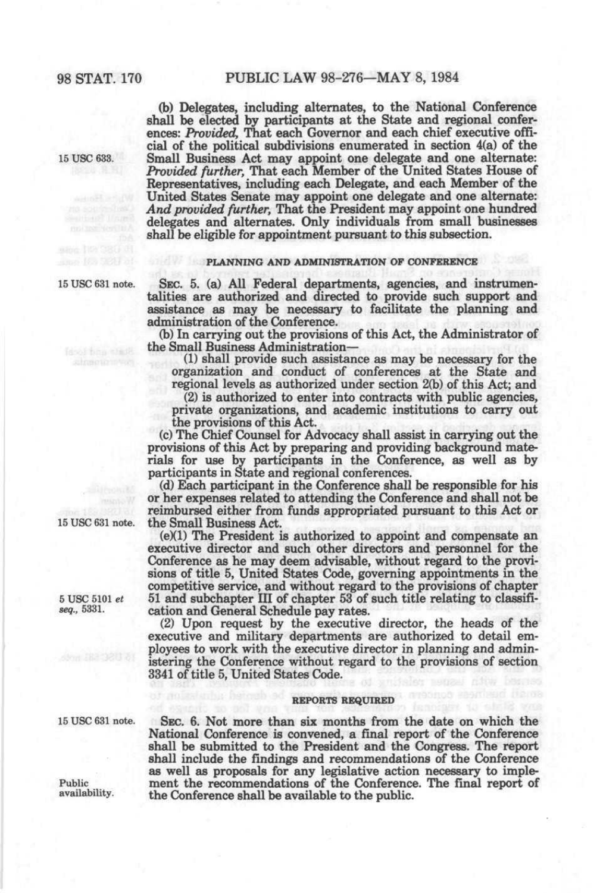(b) Delegates, including alternates, to the National Conference shall be elected by participants at the State and regional conferences: *Provided,* That each Governor and each chief executive official of the political subdivisions enumerated in section 4(a) of the 15 use 633. Small Business Act may appoint one delegate and one alternate: *Provided further.* That each Member of the United States House of Representatives, including each Delegate, and each Member of the United States Senate may appoint one delegate and one alternate: *And provided further.* That the President may appoint one hundred delegates and alternates. Only individuals from small businesses shall be eligible for appointment pursuant to this subsection.

#### **PLANNING AND ADMINISTRATION OP CONFERENCE**

15 use 631 note. SEC. 5. (a) All Federal departments, agencies, and instrumentalities are authorized and directed to provide such support and assistance as may be necessary to facilitate the planning and administration of the Conference.

(b) In carrying out the provisions of this Act, the Administrator of the Small Business Administration—

(1) shall provide such assistance as may be necessary for the organization and conduct of conferences at the State and regional levels as authorized under section 2(b) of this Act; and

(2) is authorized to enter into contracts with public agencies, private organizations, and academic institutions to carry out the provisions of this Act.

(c) The Chief Counsel for Advocacy shall assist in carrying out the provisions of this Act by preparing and providing background materials for use by participants in the Conference, as well as by participants in State and regional conferences.

(d) Each participant in the Conference shall be responsible for his or her expenses related to attending the Conference and shall not be reimbursed either from funds appropriated pursuant to this Act or 15 USC 631 note. the Small Business Act.

 $(e)(1)$  The President is authorized to appoint and compensate an executive director and such other directors and personnel for the Conference as he may deem advisable, without regard to the provisions of title 5, United States Code, governing appointments in the competitive service, and without regard to the provisions of chapter 5 USC 5101 *et* 51 and subchapter III of chapter 53 of such title relating to classifi-<br>seq., 5331. cation and General Schedule pay rates. cation and General Schedule pay rates.

(2) Upon request by the executive director, the heads of the executive and military departments are authorized to detail employees to work with the executive director in planning and administering the Conference without regard to the provisions of section 3341 of title 5, United States Code.

#### **REPORTS REQUIRED**

15 use 631 note. SEC. 6. Not more than six months from the date on which the National Conference is convened, a final report of the Conference shall be submitted to the President and the Congress. The report shall include the findings and recommendations of the Conference as well as proposals for any legislative action necessary to imple-Public ment the recommendations of the Conference. The final report of availability. the Conference shall be available to the public the Conference shall be available to the public.

doof tinn shaft